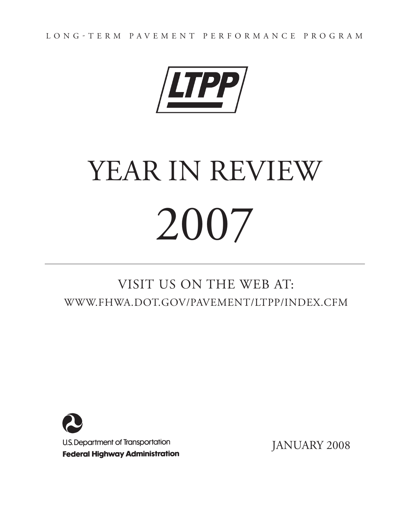Long-term Pavement Performance Program



# YEAR IN REVIEW 2007

# VISIT US ON THE WEB AT: [WWW.FHWA.DOT.GOV/PAVEMENT/LTPP/INDEX.CFM](http://www.fhwa.dot.gov/PAVEMENT/LTPP/INDEX.CFM)



JANUARY 2008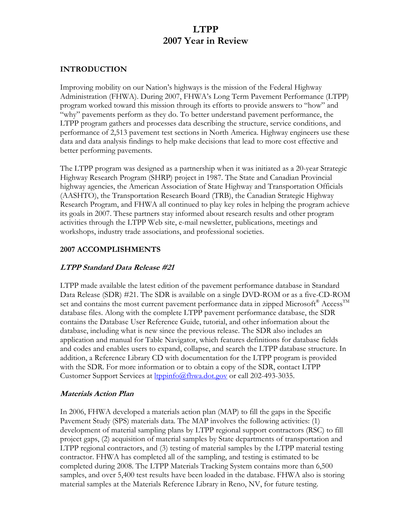## **LTPP 2007 Year in Review**

#### **INTRODUCTION**

Improving mobility on our Nation's highways is the mission of the Federal Highway Administration (FHWA). During 2007, FHWA's Long Term Pavement Performance (LTPP) program worked toward this mission through its efforts to provide answers to "how" and "why" pavements perform as they do. To better understand pavement performance, the LTPP program gathers and processes data describing the structure, service conditions, and performance of 2,513 pavement test sections in North America. Highway engineers use these data and data analysis findings to help make decisions that lead to more cost effective and better performing pavements.

The LTPP program was designed as a partnership when it was initiated as a 20-year Strategic Highway Research Program (SHRP) project in 1987. The State and Canadian Provincial highway agencies, the American Association of State Highway and Transportation Officials (AASHTO), the Transportation Research Board (TRB), the Canadian Strategic Highway Research Program, and FHWA all continued to play key roles in helping the program achieve its goals in 2007. These partners stay informed about research results and other program activities through the LTPP Web site, e-mail newsletter, publications, meetings and workshops, industry trade associations, and professional societies.

#### **2007 ACCOMPLISHMENTS**

#### **LTPP Standard Data Release #21**

LTPP made available the latest edition of the pavement performance database in Standard Data Release (SDR) #21. The SDR is available on a single DVD-ROM or as a five-CD-ROM set and contains the most current pavement performance data in zipped Microsoft® Access<sup>™</sup> database files. Along with the complete LTPP pavement performance database, the SDR contains the Database User Reference Guide, tutorial, and other information about the database, including what is new since the previous release. The SDR also includes an application and manual for Table Navigator, which features definitions for database fields and codes and enables users to expand, collapse, and search the LTPP database structure. In addition, a Reference Library CD with documentation for the LTPP program is provided with the SDR. For more information or to obtain a copy of the SDR, contact LTPP Customer Support Services at [ltppinfo@fhwa.dot.gov](mailto:ltppinfo@fhwa.dot.gov) or call 202-493-3035.

#### **Materials Action Plan**

In 2006, FHWA developed a materials action plan (MAP) to fill the gaps in the Specific Pavement Study (SPS) materials data. The MAP involves the following activities: (1) development of material sampling plans by LTPP regional support contractors (RSC) to fill project gaps, (2) acquisition of material samples by State departments of transportation and LTPP regional contractors, and (3) testing of material samples by the LTPP material testing contractor. FHWA has completed all of the sampling, and testing is estimated to be completed during 2008. The LTPP Materials Tracking System contains more than 6,500 samples, and over 5,400 test results have been loaded in the database. FHWA also is storing material samples at the Materials Reference Library in Reno, NV, for future testing.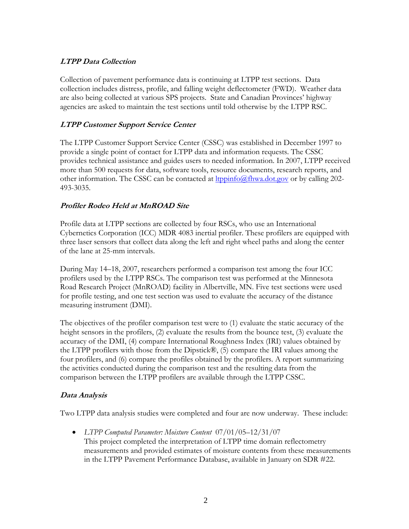#### **LTPP Data Collection**

Collection of pavement performance data is continuing at LTPP test sections. Data collection includes distress, profile, and falling weight deflectometer (FWD). Weather data are also being collected at various SPS projects. State and Canadian Provinces' highway agencies are asked to maintain the test sections until told otherwise by the LTPP RSC.

#### **LTPP Customer Support Service Center**

The LTPP Customer Support Service Center (CSSC) was established in December 1997 to provide a single point of contact for LTPP data and information requests. The CSSC provides technical assistance and guides users to needed information. In 2007, LTPP received more than 500 requests for data, software tools, resource documents, research reports, and other information. The CSSC can be contacted at  $l$ <u>topinfo@fhwa.dot.gov</u> or by calling 202-493-3035.

#### **Profiler Rodeo Held at MnROAD Site**

Profile data at LTPP sections are collected by four RSCs, who use an International Cybernetics Corporation (ICC) MDR 4083 inertial profiler. These profilers are equipped with three laser sensors that collect data along the left and right wheel paths and along the center of the lane at 25-mm intervals.

During May 14–18, 2007, researchers performed a comparison test among the four ICC profilers used by the LTPP RSCs. The comparison test was performed at the Minnesota Road Research Project (MnROAD) facility in Albertville, MN. Five test sections were used for profile testing, and one test section was used to evaluate the accuracy of the distance measuring instrument (DMI).

The objectives of the profiler comparison test were to (1) evaluate the static accuracy of the height sensors in the profilers, (2) evaluate the results from the bounce test, (3) evaluate the accuracy of the DMI, (4) compare International Roughness Index (IRI) values obtained by the LTPP profilers with those from the Dipstick®, (5) compare the IRI values among the four profilers, and (6) compare the profiles obtained by the profilers. A report summarizing the activities conducted during the comparison test and the resulting data from the comparison between the LTPP profilers are available through the LTPP CSSC.

#### **Data Analysis**

Two LTPP data analysis studies were completed and four are now underway. These include:

• *LTPP Computed Parameter: Moisture Content* 07/01/05–12/31/07 This project completed the interpretation of LTPP time domain reflectometry measurements and provided estimates of moisture contents from these measurements in the LTPP Pavement Performance Database, available in January on SDR #22.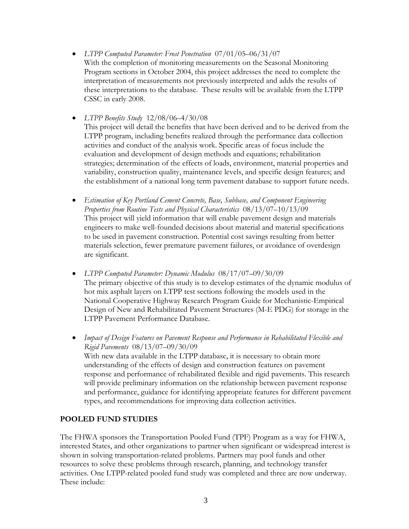• *LTPP Computed Parameter: Frost Penetration* 07/01/05–06/31/07 With the completion of monitoring measurements on the Seasonal Monitoring Program sections in October 2004, this project addresses the need to complete the interpretation of measurements not previously interpreted and adds the results of these interpretations to the database. These results will be available from the LTPP CSSC in early 2008.

• *LTPP Benefits Study* 12/08/06–4/30/08

This project will detail the benefits that have been derived and to be derived from the LTPP program, including benefits realized through the performance data collection activities and conduct of the analysis work. Specific areas of focus include the evaluation and development of design methods and equations; rehabilitation strategies; determination of the effects of loads, environment, material properties and variability, construction quality, maintenance levels, and specific design features; and the establishment of a national long term pavement database to support future needs.

- *Estimation of Key Portland Cement Concrete, Base, Subbase, and Component Engineering Properties from Routine Tests and Physical Characteristics* 08/13/07–10/13/09 This project will yield information that will enable pavement design and materials engineers to make well-founded decisions about material and material specifications to be used in pavement construction. Potential cost savings resulting from better materials selection, fewer premature pavement failures, or avoidance of overdesign are significant.
- *LTPP Computed Parameter: Dynamic Modulus* 08/17/07–09/30/09 The primary objective of this study is to develop estimates of the dynamic modulus of hot mix asphalt layers on LTPP test sections following the models used in the National Cooperative Highway Research Program Guide for Mechanistic-Empirical Design of New and Rehabilitated Pavement Structures (M-E PDG) for storage in the LTPP Pavement Performance Database.
- *Impact of Design Features on Pavement Response and Performance in Rehabilitated Flexible and Rigid Pavements* 08/13/07–09/30/09 With new data available in the LTPP database, it is necessary to obtain more understanding of the effects of design and construction features on pavement response and performance of rehabilitated flexible and rigid pavements. This research will provide preliminary information on the relationship between pavement response and performance, guidance for identifying appropriate features for different pavement types, and recommendations for improving data collection activities.

#### **POOLED FUND STUDIES**

The FHWA sponsors the Transportation Pooled Fund (TPF) Program as a way for FHWA, interested States, and other organizations to partner when significant or widespread interest is shown in solving transportation-related problems. Partners may pool funds and other resources to solve these problems through research, planning, and technology transfer activities. One LTPP-related pooled fund study was completed and three are now underway. These include: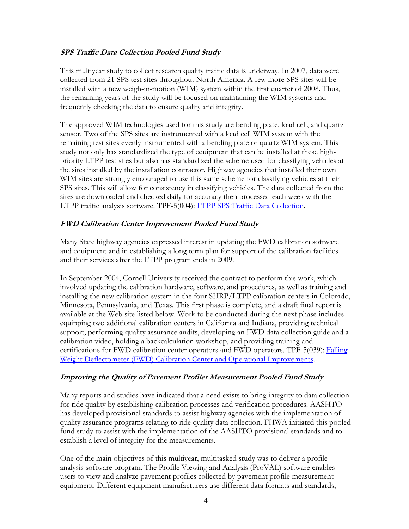#### **SPS Traffic Data Collection Pooled Fund Study**

This multiyear study to collect research quality traffic data is underway. In 2007, data were collected from 21 SPS test sites throughout North America. A few more SPS sites will be installed with a new weigh-in-motion (WIM) system within the first quarter of 2008. Thus, the remaining years of the study will be focused on maintaining the WIM systems and frequently checking the data to ensure quality and integrity.

The approved WIM technologies used for this study are bending plate, load cell, and quartz sensor. Two of the SPS sites are instrumented with a load cell WIM system with the remaining test sites evenly instrumented with a bending plate or quartz WIM system. This study not only has standardized the type of equipment that can be installed at these highpriority LTPP test sites but also has standardized the scheme used for classifying vehicles at the sites installed by the installation contractor. Highway agencies that installed their own WIM sites are strongly encouraged to use this same scheme for classifying vehicles at their SPS sites. This will allow for consistency in classifying vehicles. The data collected from the sites are downloaded and checked daily for accuracy then processed each week with the LTPP traffic analysis software. TPF-5(004): [LTPP SPS Traffic Data Collection.](http://www.pooledfund.org/projectdetails.asp?id=123&status=6)

#### **FWD Calibration Center Improvement Pooled Fund Study**

Many State highway agencies expressed interest in updating the FWD calibration software and equipment and in establishing a long term plan for support of the calibration facilities and their services after the LTPP program ends in 2009.

In September 2004, Cornell University received the contract to perform this work, which involved updating the calibration hardware, software, and procedures, as well as training and installing the new calibration system in the four SHRP/LTPP calibration centers in Colorado, Minnesota, Pennsylvania, and Texas. This first phase is complete, and a draft final report is available at the Web site listed below. Work to be conducted during the next phase includes equipping two additional calibration centers in California and Indiana, providing technical support, performing quality assurance audits, developing an FWD data collection guide and a calibration video, holding a backcalculation workshop, and providing training and certifications for FWD calibration center operators and FWD operators. TPF-5(039): [Falling](http://www.pooledfund.org/projectdetails.asp?id=28&status=6)  [Weight Deflectometer \(FWD\) Calibration Center and Operational Improvements](http://www.pooledfund.org/projectdetails.asp?id=28&status=6).

#### **Improving the Quality of Pavement Profiler Measurement Pooled Fund Study**

Many reports and studies have indicated that a need exists to bring integrity to data collection for ride quality by establishing calibration processes and verification procedures. AASHTO has developed provisional standards to assist highway agencies with the implementation of quality assurance programs relating to ride quality data collection. FHWA initiated this pooled fund study to assist with the implementation of the AASHTO provisional standards and to establish a level of integrity for the measurements.

One of the main objectives of this multiyear, multitasked study was to deliver a profile analysis software program. The Profile Viewing and Analysis (ProVAL) software enables users to view and analyze pavement profiles collected by pavement profile measurement equipment. Different equipment manufacturers use different data formats and standards,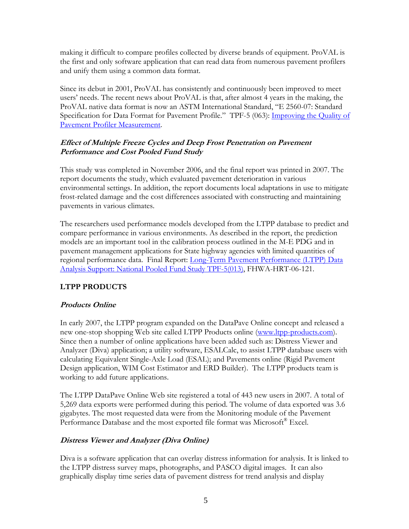making it difficult to compare profiles collected by diverse brands of equipment. ProVAL is the first and only software application that can read data from numerous pavement profilers and unify them using a common data format.

Since its debut in 2001, ProVAL has consistently and continuously been improved to meet users' needs. The recent news about ProVAL is that, after almost 4 years in the making, the ProVAL native data format is now an ASTM International Standard, "E 2560-07: Standard Specification for Data Format for Pavement Profile." TPF-5 (063): Improving the Quality of [Pavement Profiler Measurement](http://www.pooledfund.org/projectdetails.asp?id=280&status=4).

#### **Effect of Multiple Freeze Cycles and Deep Frost Penetration on Pavement Performance and Cost Pooled Fund Study**

This study was completed in November 2006, and the final report was printed in 2007. The report documents the study, which evaluated pavement deterioration in various environmental settings. In addition, the report documents local adaptations in use to mitigate frost-related damage and the cost differences associated with constructing and maintaining pavements in various climates.

The researchers used performance models developed from the LTPP database to predict and compare performance in various environments. As described in the report, the prediction models are an important tool in the calibration process outlined in the M-E PDG and in pavement management applications for State highway agencies with limited quantities of regional performance data. Final Report: Long-Term Pavement Performance (LTPP) Data [Analysis Support: National Pooled Fund Study TPF-5\(013\),](http://www.fhwa.dot.gov/pavement/pub_details.cfm?id=475) FHWA-HRT-06-121.

#### **LTPP PRODUCTS**

#### **Products Online**

In early 2007, the LTPP program expanded on the DataPave Online concept and released a new one-stop shopping Web site called LTPP Products online ([www.ltpp-products.com\)](http://www.ltpp-products.com/). Since then a number of online applications have been added such as: Distress Viewer and Analyzer (Diva) application; a utility software, ESALCalc, to assist LTPP database users with calculating Equivalent Single-Axle Load (ESAL); and Pavements online (Rigid Pavement Design application, WIM Cost Estimator and ERD Builder). The LTPP products team is working to add future applications.

The LTPP DataPave Online Web site registered a total of 443 new users in 2007. A total of 5,269 data exports were performed during this period. The volume of data exported was 3.6 gigabytes. The most requested data were from the Monitoring module of the Pavement Performance Database and the most exported file format was Microsoft<sup>®</sup> Excel.

#### **Distress Viewer and Analyzer (Diva Online)**

Diva is a software application that can overlay distress information for analysis. It is linked to the LTPP distress survey maps, photographs, and PASCO digital images. It can also graphically display time series data of pavement distress for trend analysis and display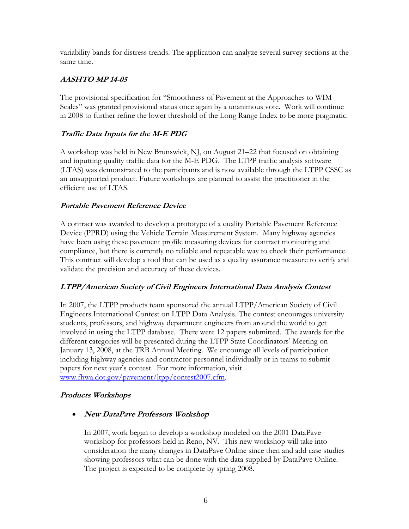variability bands for distress trends. The application can analyze several survey sections at the same time.

#### **AASHTO MP 14-05**

The provisional specification for "Smoothness of Pavement at the Approaches to WIM Scales" was granted provisional status once again by a unanimous vote. Work will continue in 2008 to further refine the lower threshold of the Long Range Index to be more pragmatic.

#### **Traffic Data Inputs for the M-E PDG**

A workshop was held in New Brunswick, NJ, on August 21–22 that focused on obtaining and inputting quality traffic data for the M-E PDG. The LTPP traffic analysis software (LTAS) was demonstrated to the participants and is now available through the LTPP CSSC as an unsupported product. Future workshops are planned to assist the practitioner in the efficient use of LTAS.

#### **Portable Pavement Reference Device**

A contract was awarded to develop a prototype of a quality Portable Pavement Reference Device (PPRD) using the Vehicle Terrain Measurement System. Many highway agencies have been using these pavement profile measuring devices for contract monitoring and compliance, but there is currently no reliable and repeatable way to check their performance. This contract will develop a tool that can be used as a quality assurance measure to verify and validate the precision and accuracy of these devices.

#### **LTPP/American Society of Civil Engineers International Data Analysis Contest**

In 2007, the LTPP products team sponsored the annual LTPP/American Society of Civil Engineers International Contest on LTPP Data Analysis. The contest encourages university students, professors, and highway department engineers from around the world to get involved in using the LTPP database. There were 12 papers submitted. The awards for the different categories will be presented during the LTPP State Coordinators' Meeting on January 13, 2008, at the TRB Annual Meeting. We encourage all levels of participation including highway agencies and contractor personnel individually or in teams to submit papers for next year's contest. For more information, visit [www.fhwa.dot.gov/pavement/ltpp/contest2007.cfm](http://www.fhwa.dot.gov/pavement/ltpp/contest2007.cfm).

#### **Products Workshops**

• **New DataPave Professors Workshop** 

In 2007, work began to develop a workshop modeled on the 2001 DataPave workshop for professors held in Reno, NV. This new workshop will take into consideration the many changes in DataPave Online since then and add case studies showing professors what can be done with the data supplied by DataPave Online. The project is expected to be complete by spring 2008.